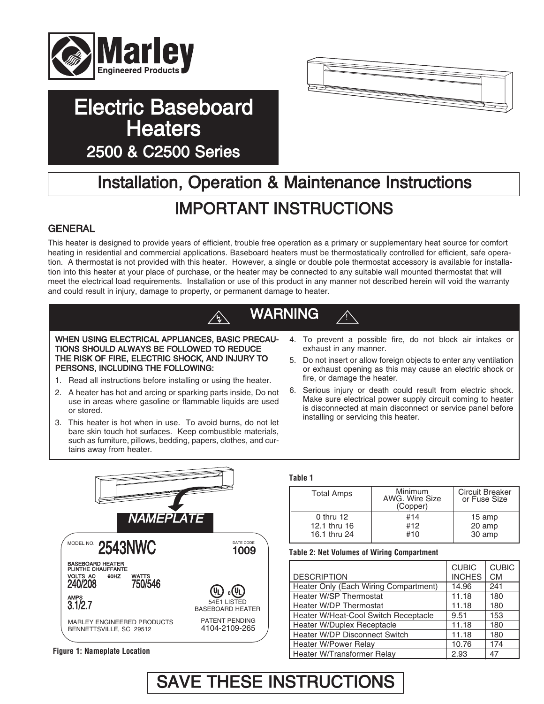

# Electric Baseboard **Heaters** 2500 & C2500 Series



# Installation, Operation & Maintenance Instructions IMPORTANT INSTRUCTIONS

# **GENERAL**

This heater is designed to provide years of efficient, trouble free operation as a primary or supplementary heat source for comfort heating in residential and commercial applications. Baseboard heaters must be thermostatically controlled for efficient, safe operation. A thermostat is not provided with this heater. However, a single or double pole thermostat accessory is available for installation into this heater at your place of purchase, or the heater may be connected to any suitable wall mounted thermostat that will meet the electrical load requirements. Installation or use of this product in any manner not described herein will void the warranty and could result in injury, damage to property, or permanent damage to heater.

# WARNING

WHEN USING ELECTRICAL APPLIANCES, BASIC PRECAU-TIONS SHOULD ALWAYS BE FOLLOWED TO REDUCE THE RISK OF FIRE, ELECTRIC SHOCK, AND INJURY TO PERSONS, INCLUDING THE FOLLOWING:

- 1. Read all instructions before installing or using the heater.
- 2. A heater has hot and arcing or sparking parts inside, Do not use in areas where gasoline or flammable liquids are used or stored.
- 3. This heater is hot when in use. To avoid burns, do not let bare skin touch hot surfaces. Keep combustible materials, such as furniture, pillows, bedding, papers, clothes, and curtains away from heater.
- 4. To prevent a possible fire, do not block air intakes or exhaust in any manner.

!

- 5. Do not insert or allow foreign objects to enter any ventilation or exhaust opening as this may cause an electric shock or fire, or damage the heater.
- 6. Serious injury or death could result from electric shock. Make sure electrical power supply circuit coming to heater is disconnected at main disconnect or service panel before installing or servicing this heater.



### **Table 1**

| <b>Total Amps</b> | <b>Minimum</b><br>AWG. Wire Size<br>(Copper) | <b>Circuit Breaker</b><br>or Fuse Size |
|-------------------|----------------------------------------------|----------------------------------------|
| $0$ thru 12       | #14                                          | 15 amp                                 |
| 12.1 thru 16      | #12                                          | 20 amp                                 |
| 16.1 thru 24      | #10                                          | 30 amp                                 |

### **Table 2: Net Volumes of Wiring Compartment**

|                                       | <b>CUBIC</b>  | <b>CUBIC</b> |
|---------------------------------------|---------------|--------------|
| <b>DESCRIPTION</b>                    | <b>INCHES</b> | <b>CM</b>    |
| Heater Only (Each Wiring Compartment) | 14.96         | 241          |
| Heater W/SP Thermostat                | 11.18         | 180          |
| Heater W/DP Thermostat                | 11.18         | 180          |
| Heater W/Heat-Cool Switch Receptacle  | 9.51          | 153          |
| Heater W/Duplex Receptacle            | 11.18         | 180          |
| Heater W/DP Disconnect Switch         | 11.18         | 180          |
| Heater W/Power Relay                  | 10.76         | 174          |
| Heater W/Transformer Relay            | 2.93          | 47           |

**Figure 1: Nameplate Location**

# SAVE THESE INSTRUCTIONS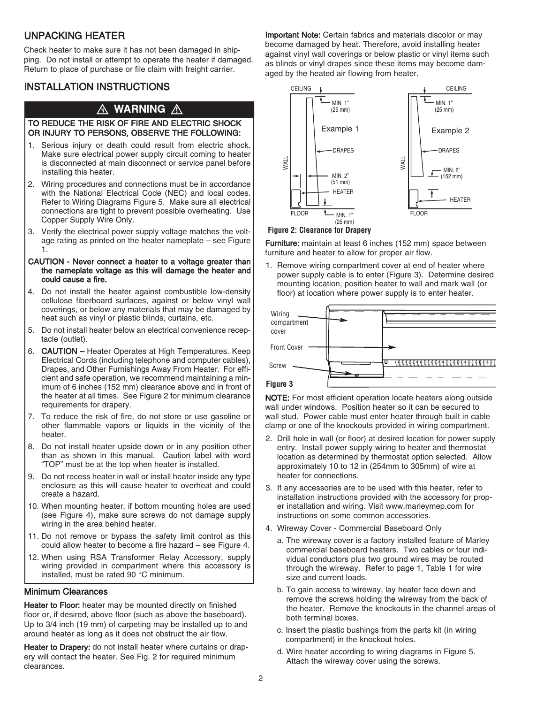# UNPACKING HEATER

Check heater to make sure it has not been damaged in shipping. Do not install or attempt to operate the heater if damaged. Return to place of purchase or file claim with freight carrier.

# INSTALLATION INSTRUCTIONS

# A WARNING A

### TO REDUCE THE RISK OF FIRE AND ELECTRIC SHOCK OR INJURY TO PERSONS, OBSERVE THE FOLLOWING:

- 1. Serious injury or death could result from electric shock. Make sure electrical power supply circuit coming to heater is disconnected at main disconnect or service panel before installing this heater.
- 2. Wiring procedures and connections must be in accordance with the National Electrical Code (NEC) and local codes. Refer to Wiring Diagrams Figure 5. Make sure all electrical connections are tight to prevent possible overheating. Use Copper Supply Wire Only.
- 3. Verify the electrical power supply voltage matches the voltage rating as printed on the heater nameplate – see Figure 1.

#### CAUTION - Never connect a heater to a voltage greater than the nameplate voltage as this will damage the heater and could cause a fire.

- 4. Do not install the heater against combustible low-density cellulose fiberboard surfaces, against or below vinyl wall coverings, or below any materials that may be damaged by heat such as vinyl or plastic blinds, curtains, etc.
- 5. Do not install heater below an electrical convenience receptacle (outlet).
- 6. CAUTION Heater Operates at High Temperatures. Keep Electrical Cords (including telephone and computer cables), Drapes, and Other Furnishings Away From Heater. For efficient and safe operation, we recommend maintaining a minimum of 6 inches (152 mm) clearance above and in front of the heater at all times. See Figure 2 for minimum clearance requirements for drapery.
- 7. To reduce the risk of fire, do not store or use gasoline or other flammable vapors or liquids in the vicinity of the heater.
- 8. Do not install heater upside down or in any position other than as shown in this manual. Caution label with word "TOP" must be at the top when heater is installed.
- 9. Do not recess heater in wall or install heater inside any type enclosure as this will cause heater to overheat and could create a hazard.
- 10. When mounting heater, if bottom mounting holes are used (see Figure 4), make sure screws do not damage supply wiring in the area behind heater.
- 11. Do not remove or bypass the safety limit control as this could allow heater to become a fire hazard – see Figure 4.
- 12. When using RSA Transformer Relay Accessory, supply wiring provided in compartment where this accessory is installed, must be rated 90 °C minimum.

### Minimum Clearances

Heater to Floor: heater may be mounted directly on finished floor or, if desired, above floor (such as above the baseboard). Up to 3/4 inch (19 mm) of carpeting may be installed up to and around heater as long as it does not obstruct the air flow.

Heater to Drapery: do not install heater where curtains or drapery will contact the heater. See Fig. 2 for required minimum clearances.

Important Note: Certain fabrics and materials discolor or may become damaged by heat. Therefore, avoid installing heater against vinyl wall coverings or below plastic or vinyl items such as blinds or vinyl drapes since these items may become damaged by the heated air flowing from heater.



### **Figure 2: Clearance for Drapery**

Furniture: maintain at least 6 inches (152 mm) space between furniture and heater to allow for proper air flow.

1. Remove wiring compartment cover at end of heater where power supply cable is to enter (Figure 3). Determine desired mounting location, position heater to wall and mark wall (or floor) at location where power supply is to enter heater.



NOTE: For most efficient operation locate heaters along outside wall under windows. Position heater so it can be secured to wall stud. Power cable must enter heater through built in cable clamp or one of the knockouts provided in wiring compartment.

- 2. Drill hole in wall (or floor) at desired location for power supply entry. Install power supply wiring to heater and thermostat location as determined by thermostat option selected. Allow approximately 10 to 12 in (254mm to 305mm) of wire at heater for connections.
- 3. If any accessories are to be used with this heater, refer to installation instructions provided with the accessory for proper installation and wiring. Visit www.marleymep.com for instructions on some common accessories.
- 4. Wireway Cover Commercial Baseboard Only
	- a. The wireway cover is a factory installed feature of Marley commercial baseboard heaters. Two cables or four individual conductors plus two ground wires may be routed through the wireway. Refer to page 1, Table 1 for wire size and current loads.
	- b. To gain access to wireway, lay heater face down and remove the screws holding the wireway from the back of the heater. Remove the knockouts in the channel areas of both terminal boxes.
	- c. Insert the plastic bushings from the parts kit (in wiring compartment) in the knockout holes.
	- d. Wire heater according to wiring diagrams in Figure 5. Attach the wireway cover using the screws.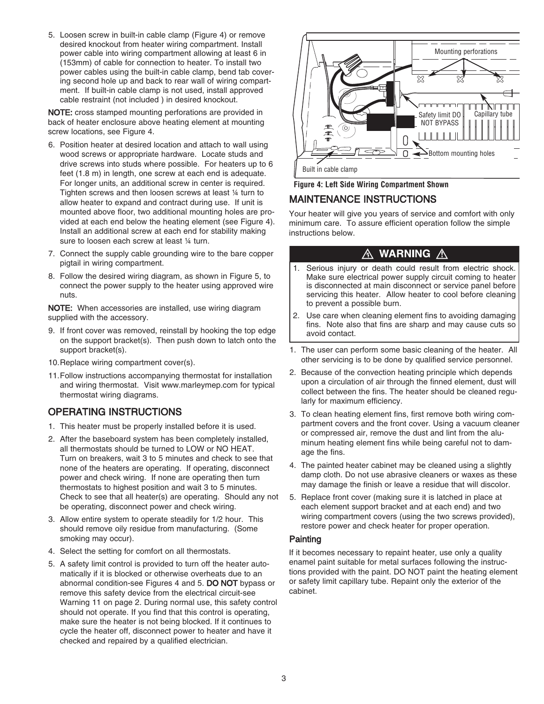5. Loosen screw in built-in cable clamp (Figure 4) or remove desired knockout from heater wiring compartment. Install power cable into wiring compartment allowing at least 6 in (153mm) of cable for connection to heater. To install two power cables using the built-in cable clamp, bend tab covering second hole up and back to rear wall of wiring compartment. If built-in cable clamp is not used, install approved cable restraint (not included ) in desired knockout.

NOTE: cross stamped mounting perforations are provided in back of heater enclosure above heating element at mounting screw locations, see Figure 4.

- 6. Position heater at desired location and attach to wall using wood screws or appropriate hardware. Locate studs and drive screws into studs where possible. For heaters up to 6 feet (1.8 m) in length, one screw at each end is adequate. For longer units, an additional screw in center is required. Tighten screws and then loosen screws at least ¼ turn to allow heater to expand and contract during use. If unit is mounted above floor, two additional mounting holes are provided at each end below the heating element (see Figure 4). Install an additional screw at each end for stability making sure to loosen each screw at least 1/4 turn.
- 7. Connect the supply cable grounding wire to the bare copper pigtail in wiring compartment.
- 8. Follow the desired wiring diagram, as shown in Figure 5, to connect the power supply to the heater using approved wire nuts.

NOTE: When accessories are installed, use wiring diagram supplied with the accessory.

- 9. If front cover was removed, reinstall by hooking the top edge on the support bracket(s). Then push down to latch onto the support bracket(s).
- 10.Replace wiring compartment cover(s).
- 11.Follow instructions accompanying thermostat for installation and wiring thermostat. Visit www.marleymep.com for typical thermostat wiring diagrams.

# OPERATING INSTRUCTIONS

- 1. This heater must be properly installed before it is used.
- 2. After the baseboard system has been completely installed, all thermostats should be turned to LOW or NO HEAT. Turn on breakers, wait 3 to 5 minutes and check to see that none of the heaters are operating. If operating, disconnect power and check wiring. If none are operating then turn thermostats to highest position and wait 3 to 5 minutes. Check to see that all heater(s) are operating. Should any not be operating, disconnect power and check wiring.
- 3. Allow entire system to operate steadily for 1/2 hour. This should remove oily residue from manufacturing. (Some smoking may occur).
- 4. Select the setting for comfort on all thermostats.
- 5. A safety limit control is provided to turn off the heater automatically if it is blocked or otherwise overheats due to an abnormal condition-see Figures 4 and 5. DO NOT bypass or remove this safety device from the electrical circuit-see Warning 11 on page 2. During normal use, this safety control should not operate. If you find that this control is operating, make sure the heater is not being blocked. If it continues to cycle the heater off, disconnect power to heater and have it checked and repaired by a qualified electrician.



**Figure 4: Left Side Wiring Compartment Shown**

# MAINTENANCE INSTRUCTIONS

Your heater will give you years of service and comfort with only minimum care. To assure efficient operation follow the simple instructions below.

# **WARNING** A

- 1. Serious injury or death could result from electric shock. Make sure electrical power supply circuit coming to heater is disconnected at main disconnect or service panel before servicing this heater. Allow heater to cool before cleaning to prevent a possible burn.
- 2. Use care when cleaning element fins to avoiding damaging fins. Note also that fins are sharp and may cause cuts so avoid contact.
- 1. The user can perform some basic cleaning of the heater. All other servicing is to be done by qualified service personnel.
- 2. Because of the convection heating principle which depends upon a circulation of air through the finned element, dust will collect between the fins. The heater should be cleaned regularly for maximum efficiency.
- 3. To clean heating element fins, first remove both wiring compartment covers and the front cover. Using a vacuum cleaner or compressed air, remove the dust and lint from the aluminum heating element fins while being careful not to damage the fins.
- 4. The painted heater cabinet may be cleaned using a slightly damp cloth. Do not use abrasive cleaners or waxes as these may damage the finish or leave a residue that will discolor.
- 5. Replace front cover (making sure it is latched in place at each element support bracket and at each end) and two wiring compartment covers (using the two screws provided), restore power and check heater for proper operation.

# **Painting**

If it becomes necessary to repaint heater, use only a quality enamel paint suitable for metal surfaces following the instructions provided with the paint. DO NOT paint the heating element or safety limit capillary tube. Repaint only the exterior of the cabinet.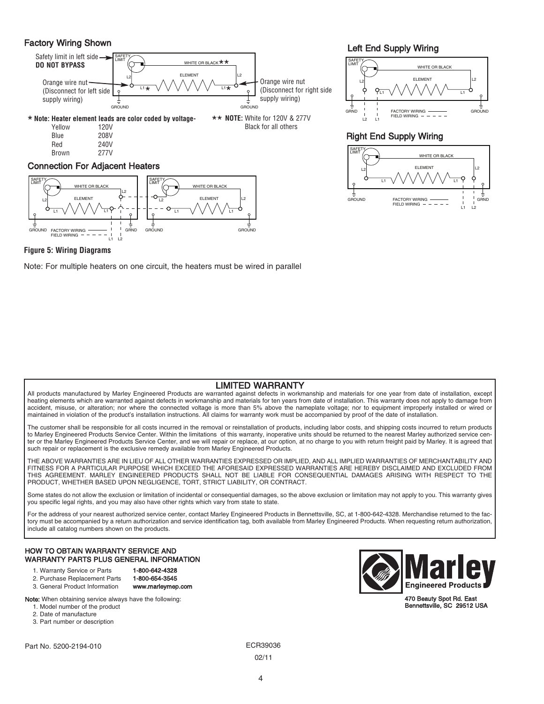# Factory Wiring Shown



### Connection For Adjacent Heaters



Left End Supply Wiring



### Right End Supply Wiring



#### **Figure 5: Wiring Diagrams**

Note: For multiple heaters on one circuit, the heaters must be wired in parallel

# LIMITED WARRANTY

All products manufactured by Marley Engineered Products are warranted against defects in workmanship and materials for one year from date of installation, except heating elements which are warranted against defects in workmanship and materials for ten years from date of installation. This warranty does not apply to damage from accident, misuse, or alteration; nor where the connected voltage is more than 5% above the nameplate voltage; nor to equipment improperly installed or wired or maintained in violation of the product's installation instructions. All claims for warranty work must be accompanied by proof of the date of installation.

The customer shall be responsible for all costs incurred in the removal or reinstallation of products, including labor costs, and shipping costs incurred to return products to Marley Engineered Products Service Center. Within the limitations of this warranty, inoperative units should be returned to the nearest Marley authorized service center or the Marley Engineered Products Service Center, and we will repair or replace, at our option, at no charge to you with return freight paid by Marley. It is agreed that such repair or replacement is the exclusive remedy available from Marley Engineered Products.

THE ABOVE WARRANTIES ARE IN LIEU OF ALL OTHER WARRANTIES EXPRESSED OR IMPLIED, AND ALL IMPLIED WARRANTIES OF MERCHANTABILITY AND FITNESS FOR A PARTICULAR PURPOSE WHICH EXCEED THE AFORESAID EXPRESSED WARRANTIES ARE HEREBY DISCLAIMED AND EXCLUDED FROM THIS AGREEMENT. MARLEY ENGINEERED PRODUCTS SHALL NOT BE LIABLE FOR CONSEQUENTIAL DAMAGES ARISING WITH RESPECT TO THE PRODUCT, WHETHER BASED UPON NEGLIGENCE, TORT, STRICT LIABILITY, OR CONTRACT.

Some states do not allow the exclusion or limitation of incidental or consequential damages, so the above exclusion or limitation may not apply to you. This warranty gives you specific legal rights, and you may also have other rights which vary from state to state.

For the address of your nearest authorized service center, contact Marley Engineered Products in Bennettsville, SC, at 1-800-642-4328. Merchandise returned to the factory must be accompanied by a return authorization and service identification tag, both available from Marley Engineered Products. When requesting return authorization, include all catalog numbers shown on the products.

#### HOW TO OBTAIN WARRANTY SERVICE AND WARRANTY PARTS PLUS GENERAL INFORMATION

- 1. Warranty Service or Parts 1-800-642-4328
- 2. Purchase Replacement Parts 1-800-654-3545
- 3. General Product Information www.marleymep.com

Note: When obtaining service always have the following:

- 1. Model number of the product
- 2. Date of manufacture
- 3. Part number or description

Part No. 5200-2194-010 **ECR39036** 



470 Beauty Spot Rd. East Bennettsville, SC 29512 USA

02/11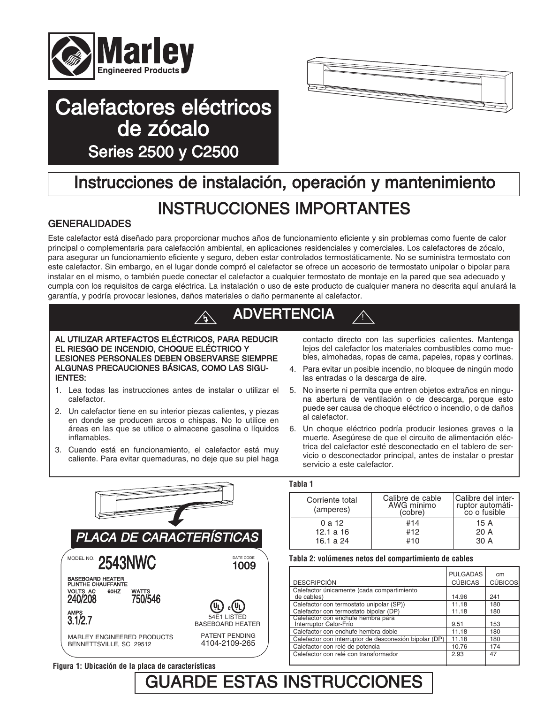

# Calefactores eléctricos de zócalo Series 2500 y C2500



# Instrucciones de instalación, operación y mantenimiento

# INSTRUCCIONES IMPORTANTES

# GENERALIDADES

MODEL NO.

AMPS

BASEBOARD HEATER PLINTHE CHAUFFANTE VOLTS AC 60HZ WATTS 240/208 750/546

Este calefactor está diseñado para proporcionar muchos años de funcionamiento eficiente y sin problemas como fuente de calor principal o complementaria para calefacción ambiental, en aplicaciones residenciales y comerciales. Los calefactores de zócalo, para asegurar un funcionamiento eficiente y seguro, deben estar controlados termostáticamente. No se suministra termostato con este calefactor. Sin embargo, en el lugar donde compró el calefactor se ofrece un accesorio de termostato unipolar o bipolar para instalar en el mismo, o también puede conectar el calefactor a cualquier termostato de montaje en la pared que sea adecuado y cumpla con los requisitos de carga eléctrica. La instalación o uso de este producto de cualquier manera no descrita aquí anulará la garantía, y podría provocar lesiones, daños materiales o daño permanente al calefactor.



#### **Tabla 2: volúmenes netos del compartimiento de cables**

16.1 a 24

| <b>DESCRIPCIÓN</b>                                           | <b>PULGADAS</b><br><b>CÚBICAS</b> | cm<br><b>CÚBICOS</b> |
|--------------------------------------------------------------|-----------------------------------|----------------------|
| Calefactor únicamente (cada compartimiento<br>de cables)     | 14.96                             | 241                  |
| Calefactor con termostato unipolar (SP))                     | 11.18                             | 180                  |
| Calefactor con termostato bipolar (DP)                       | 11.18                             | 180                  |
| Calefactor con enchufe hembra para<br>Interruptor Calor-Frío | 9.51                              | 153                  |
| Calefactor con enchufe hembra doble                          | 11.18                             | 180                  |
| Calefactor con interruptor de desconexión bipolar (DP)       | 11.18                             | 180                  |
| Calefactor con relé de potencia                              | 10.76                             | 174                  |
| Calefactor con relé con transformador                        | 2.93                              | 47                   |

#10

30 A

**Figura 1: Ubicación de la placa de características**

MARLEY ENGINEERED PRODUCTS BENNETTSVILLE, SC 29512

**2543NWC** 1009

PATENT PENDING 4104-2109-265

DATE CODE

3.1/2.7 54E1 LISTED BASEBOARD HEATER

# GUARDE ESTAS INSTRUCCIONES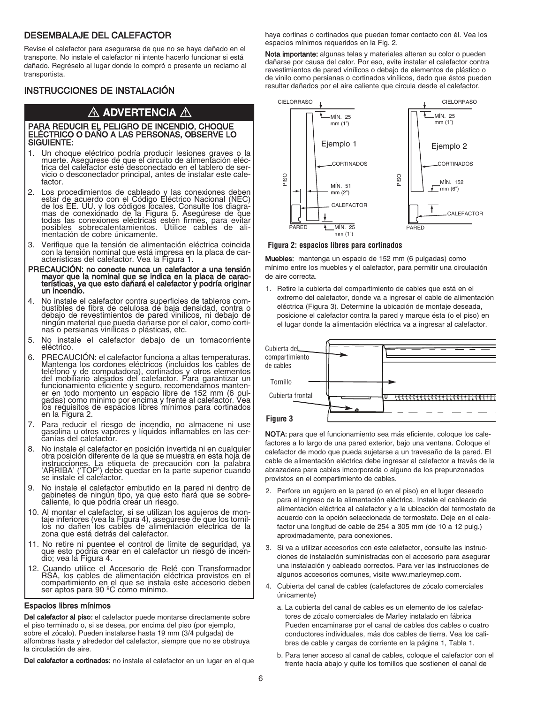### DESEMBALAJE DEL CALEFACTOR

Revise el calefactor para asegurarse de que no se haya dañado en el transporte. No instale el calefactor ni intente hacerlo funcionar si está dañado. Regréselo al lugar donde lo compró o presente un reclamo al transportista.

# INSTRUCCIONES DE INSTALACIÓN

# $\bigtriangleup$  advertencia  $\bigtriangleup$

#### PARA REDUCIR EL PELIGRO DE INCENDIO, CHOQUE ELÉCTRICO O DAÑO A LAS PERSONAS, OBSERVE LO SIGUIENTE:

- 1. Un choque eléctrico podría producir lesiones graves o la muerte. Asegúrese de que el circuito de alimentación eléc- trica del calefactor esté desconectado en el tablero de ser- vicio <sup>o</sup> desconectador principal, antes de instalar este cale- factor.
- 2. Los procedimientos de cableado y las conexiones deben estar de acuerdo con el Código Eléctrico Nacional (NEC)<br>de los EE. UU. y los códigos locales. Consulte los diagra-<br>mas de conexionado de la Figura 5. Asegúrese de que todas las conexiones eléctricas estén firmes, para evitar posibles sobrecalentamientos. Utilice cables de ali-<br>mentación de cobre únicamente.
- 3. Verifique que la tensión de alimentación eléctrica coincida con la tensión nominal que está impresa en la placa de car- acterísticas del calefactor. Vea la Figura 1.
- PRECAUCIÓN: no conecte nunca un calefactor a una tensión mayor que la nominal que se indica en la placa de carac- terísticas, ya que esto dañará el calefactor y podría originar un incendio.
- 4. No instale el calefactor contra superficies de tableros com- bustibles de fibra de celulosa de baja densidad, contra <sup>o</sup> debajo de revestimientos de pared vinílicos, ni debajo de ningún material que pueda dañarse por el calor, como corti-<br>nas o persianas vinílicas o plásticas, etc.
- 5. No instale el calefactor debajo de un tomacorriente eléctrico.
- 6. PRECAUCIÓN: el calefactor funciona <sup>a</sup> altas temperaturas. Mantenga los cordones eléctricos (incluidos los cables de teléfono y de computadora), cortinados y otros elementos del mobiliario alejados del calefactor. Para garantizar un funcionamiento eficiente y seguro, recomendamos manten-<br>er en todo momento un espacio libre de 152 mm (6 pulgadas) como mínimo por encima y frente al calefactor. Vea<br>los requisitos de espacios libres mínimos para cortinados en la Figura 2.
- Para reducir el riesgo de incendio, no almacene ni use gasolina <sup>u</sup> otros vapores <sup>y</sup> líquidos inflamables en las cer- canías del calefactor.
- 8. No instale el calefactor en posición invertida ni en cualquier otra posición diferente de la que se muestra en esta hoja de instrucciones. La etiqueta de precaución con la palabra<br>'ARRIBA' ('TOP') debe quedar en la parte superior cuando se instale el calefactor.
- 9. No instale el calefactor embutido en la pared ni dentro de gabinetes de ningún tipo, ya que esto hará que se sobre- caliente, lo que podría crear un riesgo.
- 10. Al montar el calefactor, si se utilizan los agujeros de mon- taje inferiores (vea la Figura 4), asegúrese de que los tornil- los no dañen los cables de alimentación eléctrica de la zona que está detrás del calefactor.
- 11. No retire ni puentee el control de límite de seguridad, ya que esto podría crear en el calefactor un riesgo de incen- dio; vea la Figura 4.
- 12. Cuando utilice el Accesorio de Relé con Transformador RSA, los cables de alimentación eléctrica provistos en el compartimiento en el que se instala este accesorio deben ser aptos para 90 ºC como mínimo.

#### Espacios libres mínimos

Del calefactor al piso: el calefactor puede montarse directamente sobre el piso terminado o, si se desea, por encima del piso (por ejemplo, sobre el zócalo). Pueden instalarse hasta 19 mm (3/4 pulgada) de alfombras hasta y alrededor del calefactor, siempre que no se obstruya la circulación de aire.

Del calefactor a cortinados: no instale el calefactor en un lugar en el que

haya cortinas o cortinados que puedan tomar contacto con él. Vea los espacios mínimos requeridos en la Fig. 2.

Nota importante: algunas telas y materiales alteran su color o pueden dañarse por causa del calor. Por eso, evite instalar el calefactor contra revestimientos de pared vinílicos o debajo de elementos de plástico o de vinilo como persianas o cortinados vinílicos, dado que éstos pueden resultar dañados por el aire caliente que circula desde el calefactor.



#### **Figura 2: espacios libres para cortinados**

Muebles: mantenga un espacio de 152 mm (6 pulgadas) como mínimo entre los muebles y el calefactor, para permitir una circulación de aire correcta.

1. Retire la cubierta del compartimiento de cables que está en el extremo del calefactor, donde va a ingresar el cable de alimentación eléctrica (Figura 3). Determine la ubicación de montaje deseada, posicione el calefactor contra la pared y marque ésta (o el piso) en el lugar donde la alimentación eléctrica va a ingresar al calefactor.



NOTA: para que el funcionamiento sea más eficiente, coloque los calefactores a lo largo de una pared exterior, bajo una ventana. Coloque el calefactor de modo que pueda sujetarse a un travesaño de la pared. El cable de alimentación eléctrica debe ingresar al calefactor a través de la abrazadera para cables imcorporada o alguno de los prepunzonados provistos en el compartimiento de cables.

- 2. Perfore un agujero en la pared (o en el piso) en el lugar deseado para el ingreso de la alimentación eléctrica. Instale el cableado de alimentación eléctrica al calefactor y a la ubicación del termostato de acuerdo con la opción seleccionada de termostato. Deje en el calefactor una longitud de cable de 254 a 305 mm (de 10 a 12 pulg.) aproximadamente, para conexiones.
- 3. Si va a utilizar accesorios con este calefactor, consulte las instrucciones de instalación suministradas con el accesorio para asegurar una instalación y cableado correctos. Para ver las instrucciones de algunos accesorios comunes, visite www.marleymep.com.
- 4. Cubierta del canal de cables (calefactores de zócalo comerciales únicamente)
	- a. La cubierta del canal de cables es un elemento de los calefactores de zócalo comerciales de Marley instalado en fábrica Pueden encaminarse por el canal de cables dos cables o cuatro conductores individuales, más dos cables de tierra. Vea los calibres de cable y cargas de corriente en la página 1, Tabla 1.
	- b. Para tener acceso al canal de cables, coloque el calefactor con el frente hacia abajo y quite los tornillos que sostienen el canal de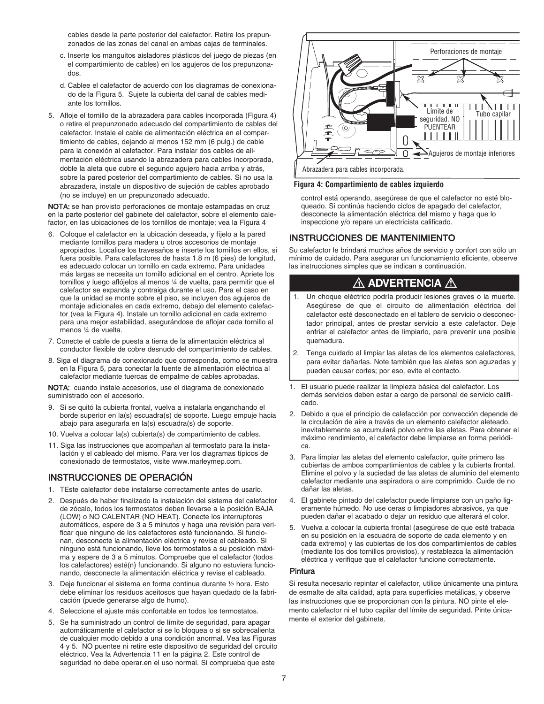cables desde la parte posterior del calefactor. Retire los prepunzonados de las zonas del canal en ambas cajas de terminales.

- c. Inserte los manguitos aisladores plásticos del juego de piezas (en el compartimiento de cables) en los agujeros de los prepunzonados.
- d. Cablee el calefactor de acuerdo con los diagramas de conexionado de la Figura 5. Sujete la cubierta del canal de cables mediante los tornillos.
- 5. Afloje el tornillo de la abrazadera para cables incorporada (Figura 4) o retire el prepunzonado adecuado del compartimiento de cables del calefactor. Instale el cable de alimentación eléctrica en el compartimiento de cables, dejando al menos 152 mm (6 pulg.) de cable para la conexión al calefactor. Para instalar dos cables de alimentación eléctrica usando la abrazadera para cables incorporada, doble la aleta que cubre el segundo agujero hacia arriba y atrás, sobre la pared posterior del compartimiento de cables. Si no usa la abrazadera, instale un dispositivo de sujeción de cables aprobado (no se incluye) en un prepunzonado adecuado.

NOTA: se han provisto perforaciones de montaje estampadas en cruz en la parte posterior del gabinete del calefactor, sobre el elemento calefactor, en las ubicaciones de los tornillos de montaje; vea la Figura 4

- 6. Coloque el calefactor en la ubicación deseada, y fíjelo a la pared mediante tornillos para madera u otros accesorios de montaje apropiados. Localice los travesaños e inserte los tornillos en ellos, si fuera posible. Para calefactores de hasta 1.8 m (6 pies) de longitud, es adecuado colocar un tornillo en cada extremo. Para unidades más largas se necesita un tornillo adicional en el centro. Apriete los tornillos y luego aflójelos al menos ¼ de vuelta, para permitir que el calefactor se expanda y contraiga durante el uso. Para el caso en que la unidad se monte sobre el piso, se incluyen dos agujeros de montaje adicionales en cada extremo, debajo del elemento calefactor (vea la Figura 4). Instale un tornillo adicional en cada extremo para una mejor estabilidad, asegurándose de aflojar cada tornillo al menos ¼ de vuelta.
- 7. Conecte el cable de puesta a tierra de la alimentación eléctrica al conductor flexible de cobre desnudo del compartimiento de cables.
- 8. Siga el diagrama de conexionado que corresponda, como se muestra en la Figura 5, para conectar la fuente de alimentación eléctrica al calefactor mediante tuercas de empalme de cables aprobadas.

NOTA: cuando instale accesorios, use el diagrama de conexionado suministrado con el accesorio.

- 9. Si se quitó la cubierta frontal, vuelva a instalarla enganchando el borde superior en la(s) escuadra(s) de soporte. Luego empuje hacia abajo para asegurarla en la(s) escuadra(s) de soporte.
- 10. Vuelva a colocar la(s) cubierta(s) de compartimiento de cables.
- 11. Siga las instrucciones que acompañan al termostato para la instalación y el cableado del mismo. Para ver los diagramas típicos de conexionado de termostatos, visite www.marleymep.com.

# INSTRUCCIONES DE OPERACIÓN

- 1. TEste calefactor debe instalarse correctamente antes de usarlo.
- 2. Después de haber finalizado la instalación del sistema del calefactor de zócalo, todos los termostatos deben llevarse a la posición BAJA (LOW) o NO CALENTAR (NO HEAT). Conecte los interruptores automáticos, espere de 3 a 5 minutos y haga una revisión para verificar que ninguno de los calefactores esté funcionando. Si funcionan, desconecte la alimentación eléctrica y revise el cableado. Si ninguno está funcionando, lleve los termostatos a su posición máxima y espere de 3 a 5 minutos. Compruebe que el calefactor (todos los calefactores) esté(n) funcionando. Si alguno no estuviera funcionando, desconecte la alimentación eléctrica y revise el cableado.
- 3. Deje funcionar el sistema en forma continua durante ½ hora. Esto debe eliminar los residuos aceitosos que hayan quedado de la fabricación (puede generarse algo de humo).
- 4. Seleccione el ajuste más confortable en todos los termostatos.
- 5. Se ha suministrado un control de límite de seguridad, para apagar automáticamente el calefactor si se lo bloquea o si se sobrecalienta de cualquier modo debido a una condición anormal. Vea las Figuras 4 y 5. NO puentee ni retire este dispositivo de seguridad del circuito eléctrico. Vea la Advertencia 11 en la página 2. Este control de seguridad no debe operar.en el uso normal. Si comprueba que este



#### **Figura 4: Compartimiento de cables izquierdo**

control está operando, asegúrese de que el calefactor no esté bloqueado. Si continúa haciendo ciclos de apagado del calefactor, desconecte la alimentación eléctrica del mismo y haga que lo inspeccione y/o repare un electricista calificado.

### INSTRUCCIONES DE MANTENIMIENTO

Su calefactor le brindará muchos años de servicio y confort con sólo un mínimo de cuidado. Para asegurar un funcionamiento eficiente, observe las instrucciones simples que se indican a continuación.

# $\bigtriangleup$  advertencia  $\bigtriangleup$

- 1. Un choque eléctrico podría producir lesiones graves o la muerte. Asegúrese de que el circuito de alimentación eléctrica del calefactor esté desconectado en el tablero de servicio o desconectador principal, antes de prestar servicio a este calefactor. Deje enfriar el calefactor antes de limpiarlo, para prevenir una posible quemadura.
- 2. Tenga cuidado al limpiar las aletas de los elementos calefactores, para evitar dañarlas. Note también que las aletas son aguzadas y pueden causar cortes; por eso, evite el contacto.
- 1. El usuario puede realizar la limpieza básica del calefactor. Los demás servicios deben estar a cargo de personal de servicio calificado.
- 2. Debido a que el principio de calefacción por convección depende de la circulación de aire a través de un elemento calefactor aleteado, inevitablemente se acumulará polvo entre las aletas. Para obtener el máximo rendimiento, el calefactor debe limpiarse en forma periódica.
- 3. Para limpiar las aletas del elemento calefactor, quite primero las cubiertas de ambos compartimientos de cables y la cubierta frontal. Elimine el polvo y la suciedad de las aletas de aluminio del elemento calefactor mediante una aspiradora o aire comprimido. Cuide de no dañar las aletas.
- 4. El gabinete pintado del calefactor puede limpiarse con un paño ligeramente húmedo. No use ceras o limpiadores abrasivos, ya que pueden dañar el acabado o dejar un residuo que alterará el color.
- 5. Vuelva a colocar la cubierta frontal (asegúrese de que esté trabada en su posición en la escuadra de soporte de cada elemento y en cada extremo) y las cubiertas de los dos compartimientos de cables (mediante los dos tornillos provistos), y restablezca la alimentación eléctrica y verifique que el calefactor funcione correctamente.

#### Pintura

Si resulta necesario repintar el calefactor, utilice únicamente una pintura de esmalte de alta calidad, apta para superficies metálicas, y observe las instrucciones que se proporcionan con la pintura. NO pinte el elemento calefactor ni el tubo capilar del límite de seguridad. Pinte únicamente el exterior del gabinete.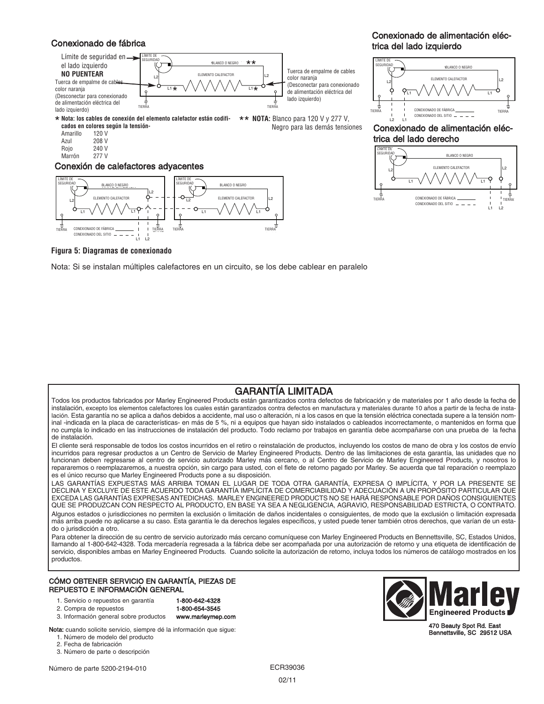## Conexionado de fábrica



L1 L1 **cados en colores según la tensión-Nota: los cables de conexión del elemento calefactor están codifi-**\* **NOTA:** Blanco para <sup>120</sup> <sup>V</sup> <sup>y</sup> <sup>277</sup> V, \*\* NOTA: Blanco para 120 V y 277 V,

VOUD VERSION CONTINUES ON A CONTINUES OF CONTINUES ON A CONTINUES OF CONTINUES ON A CONTINUES OF CONTINUES OF CONTINUES ON A CONTINUES OF CONTINUES OF CONTINUES OF CONTINUES OF CONTINUES OF CONTINUES OF CONTINUES OF CONTIN Amarillo 120 V Azul 208 V

Rojo 240 V

Marrón 277 V

#### Conexión de calefactores adyacentes



## Conexionado de alimentación eléctrica del lado izquierdo



trica del lado derecho Conexionado de alimentación eléc-



**Figura 5: Diagramas de conexionado**

Nota: Si se instalan múltiples calefactores en un circuito, se los debe cablear en paralelo L1 L1 L1 L1 L1 L1 L1 L1

# GARANTÍA LIMITADA

Negro para las demás tensiones

Todos los productos fabricados por Marley Engineered Products están garantizados contra defectos de fabricación y de materiales por 1 año desde la fecha de instalación, excepto los elementos calefactores los cuales están garantizados contra defectos en manufactura y materiales durante 10 años a partir de la fecha de instalación. Esta garantía no se aplica a daños debidos a accidente, mal uso o alteración, ni a los casos en que la tensión eléctrica conectada supere a la tensión nominal -indicada en la placa de características- en más de 5 %, ni a equipos que hayan sido instalados o cableados incorrectamente, o mantenidos en forma que no cumpla lo indicado en las instrucciones de instalación del producto. Todo reclamo por trabajos en garantía debe acompañarse con una prueba de la fecha de instalación.

El cliente será responsable de todos los costos incurridos en el retiro o reinstalación de productos, incluyendo los costos de mano de obra y los costos de envío incurridos para regresar productos a un Centro de Servicio de Marley Engineered Products. Dentro de las limitaciones de esta garantía, las unidades que no funcionan deben regresarse al centro de servicio autorizado Marley más cercano, o al Centro de Servicio de Marley Engineered Products, y nosotros lo repararemos o reemplazaremos, a nuestra opción, sin cargo para usted, con el flete de retorno pagado por Marley. Se acuerda que tal reparación o reemplazo es el único recurso que Marley Engineered Products pone a su disposición.

LAS GARANTÍAS EXPUESTAS MÁS ARRIBA TOMAN EL LUGAR DE TODA OTRA GARANTÍA, EXPRESA O IMPLÍCITA, Y POR LA PRESENTE SE DECLINA Y EXCLUYE DE ESTE ACUERDO TODA GARANTÍA IMPLÍCITA DE COMERCIABILIDAD Y ADECUACIÓN A UN PROPÓSITO PARTICULAR QUE EXCEDA LAS GARANTÍAS EXPRESAS ANTEDICHAS. MARLEY ENGINEERED PRODUCTS NO SE HARÁ RESPONSABLE POR DAÑOS CONSIGUIENTES QUE SE PRODUZCAN CON RESPECTO AL PRODUCTO, EN BASE YA SEA A NEGLIGENCIA, AGRAVIO, RESPONSABILIDAD ESTRICTA, O CONTRATO. Algunos estados o jurisdicciones no permiten la exclusión o limitación de daños incidentales o consiguientes, de modo que la exclusión o limitación expresada más arriba puede no aplicarse a su caso. Esta garantía le da derechos legales específicos, y usted puede tener también otros derechos, que varían de un estado o jurisdicción a otro.

Para obtener la dirección de su centro de servicio autorizado más cercano comuníquese con Marley Engineered Products en Bennettsville, SC, Estados Unidos, llamando al 1-800-642-4328. Toda mercadería regresada a la fábrica debe ser acompañada por una autorización de retorno y una etiqueta de identificación de servicio, disponibles ambas en Marley Engineered Products. Cuando solicite la autorización de retorno, incluya todos los números de catálogo mostrados en los productos.

#### CÓMO OBTENER SERVICIO EN GARANTÍA, PIEZAS DE REPUESTO E INFORMACIÓN GENERAL

- 1. Servicio o repuestos en garantía **1-800-642-4328**
- 2. Compra de repuestos 1-800-654-3545
- 3. Información general sobre productos www.marleymep.com

Nota: cuando solicite servicio, siempre dé la información que sigue: 1. Número de modelo del producto

- 2. Fecha de fabricación
- 3. Número de parte o descripción

Número de parte 5200-2194-010 ECR39036



470 Beauty Spot Rd. East Bennettsville, SC 29512 USA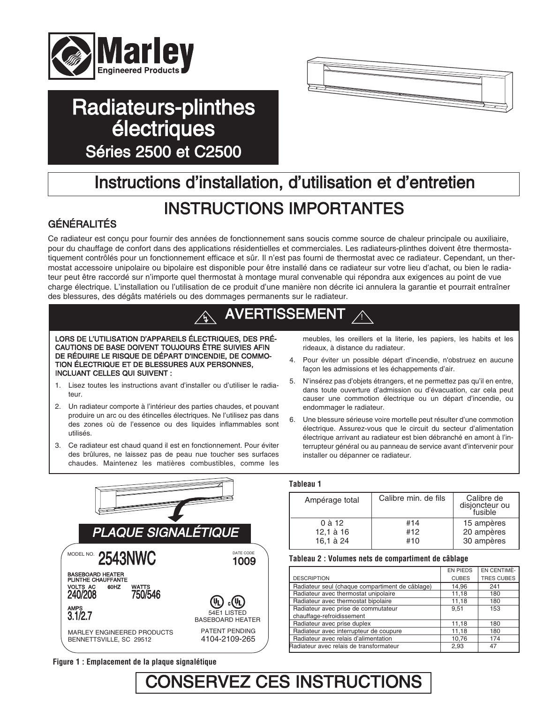

# Radiateurs-plinthes **électriques** Séries 2500 et C2500



# Instructions d'installation, d'utilisation et d'entretien

# INSTRUCTIONS IMPORTANTES

# GÉNÉRALITÉS

Ce radiateur est conçu pour fournir des années de fonctionnement sans soucis comme source de chaleur principale ou auxiliaire, pour du chauffage de confort dans des applications résidentielles et commerciales. Les radiateurs-plinthes doivent être thermostatiquement contrôlés pour un fonctionnement efficace et sûr. Il n'est pas fourni de thermostat avec ce radiateur. Cependant, un thermostat accessoire unipolaire ou bipolaire est disponible pour être installé dans ce radiateur sur votre lieu d'achat, ou bien le radiateur peut être raccordé sur n'importe quel thermostat à montage mural convenable qui répondra aux exigences au point de vue charge électrique. L'installation ou l'utilisation de ce produit d'une manière non décrite ici annulera la garantie et pourrait entraîner des blessures, des dégâts matériels ou des dommages permanents sur le radiateur.

### !<br>! AVERTISSEMENT

LORS DE L'UTILISATION D'APPAREILS ÉLECTRIQUES, DES PRÉ-CAUTIONS DE BASE DOIVENT TOUJOURS ÊTRE SUIVIES AFIN DE RÉDUIRE LE RISQUE DE DÉPART D'INCENDIE, DE COMMO-TION ÉLECTRIQUE ET DE BLESSURES AUX PERSONNES, INCLUANT CELLES QUI SUIVENT :

- 1. Lisez toutes les instructions avant d'installer ou d'utiliser le radiateur.
- 2. Un radiateur comporte à l'intérieur des parties chaudes, et pouvant produire un arc ou des étincelles électriques. Ne l'utilisez pas dans des zones où de l'essence ou des liquides inflammables sont utilisés.
- 3. Ce radiateur est chaud quand il est en fonctionnement. Pour éviter des brûlures, ne laissez pas de peau nue toucher ses surfaces chaudes. Maintenez les matières combustibles, comme les

meubles, les oreillers et la literie, les papiers, les habits et les rideaux, à distance du radiateur.

- 4. Pour éviter un possible départ d'incendie, n'obstruez en aucune façon les admissions et les échappements d'air.
- 5. N'insérez pas d'objets étrangers, et ne permettez pas qu'il en entre, dans toute ouverture d'admission ou d'évacuation, car cela peut causer une commotion électrique ou un départ d'incendie, ou endommager le radiateur.
- 6. Une blessure sérieuse voire mortelle peut résulter d'une commotion électrique. Assurez-vous que le circuit du secteur d'alimentation électrique arrivant au radiateur est bien débranché en amont à l'interrupteur général ou au panneau de service avant d'intervenir pour installer ou dépanner ce radiateur.



### **Figure 1 : Emplacement de la plaque signalétique**

# **Tableau 1**

| Calibre min. de fils | Calibre de<br>disjoncteur ou<br>fusible |
|----------------------|-----------------------------------------|
| #14                  | 15 ampères                              |
| #12                  | 20 ampères                              |
| #10                  | 30 ampères                              |
|                      |                                         |

### **Tableau 2 : Volumes nets de compartiment de câblage**

|                                                 | <b>EN PIEDS</b> | EN CENTIME-       |
|-------------------------------------------------|-----------------|-------------------|
| <b>DESCRIPTION</b>                              | <b>CUBES</b>    | <b>TRES CUBES</b> |
| Radiateur seul (chaque compartiment de câblage) | 14,96           | 241               |
| Radiateur avec thermostat unipolaire            | 11.18           | 180               |
| Radiateur avec thermostat bipolaire             | 11,18           | 180               |
| Radiateur avec prise de commutateur             | 9.51            | 153               |
| chauffage-refroidissement                       |                 |                   |
| Radiateur avec prise duplex                     | 11,18           | 180               |
| Radiateur avec interrupteur de coupure          | 11,18           | 180               |
| Radiateur avec relais d'alimentation            | 10.76           | 174               |
| Radiateur avec relais de transformateur         | 2,93            | 47                |

# CONSERVEZ CES INSTRUCTIONS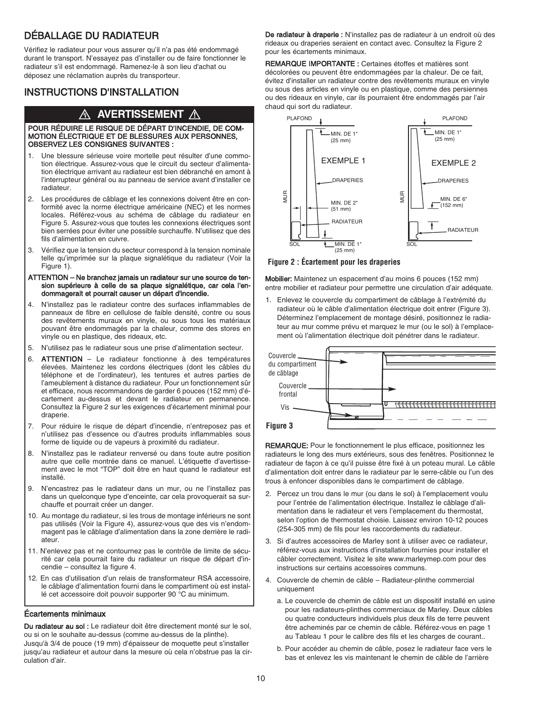# DÉBALLAGE DU RADIATEUR

Vérifiez le radiateur pour vous assurer qu'il n'a pas été endommagé durant le transport. N'essayez pas d'installer ou de faire fonctionner le radiateur s'il est endommagé. Ramenez-le à son lieu d'achat ou déposez une réclamation auprès du transporteur.

# INSTRUCTIONS D'INSTALLATION

# $\overline{\mathbb{A}}$  avertissement  $\overline{\mathbb{A}}$

#### POUR RÉDUIRE LE RISQUE DE DÉPART D'INCENDIE, DE COM-MOTION ÉLECTRIQUE ET DE BLESSURES AUX PERSONNES, OBSERVEZ LES CONSIGNES SUIVANTES :

- 1. Une blessure sérieuse voire mortelle peut résulter d'une commotion électrique. Assurez-vous que le circuit du secteur d'alimentation électrique arrivant au radiateur est bien débranché en amont à l'interrupteur général ou au panneau de service avant d'installer ce radiateur.
- 2. Les procédures de câblage et les connexions doivent être en conformité avec la norme électrique américaine (NEC) et les normes locales. Référez-vous au schéma de câblage du radiateur en Figure 5. Assurez-vous que toutes les connexions électriques sont bien serrées pour éviter une possible surchauffe. N'utilisez que des fils d'alimentation en cuivre.
- 3. Vérifiez que la tension du secteur correspond à la tension nominale telle qu'imprimée sur la plaque signalétique du radiateur (Voir la Figure 1).
- ATTENTION Ne branchez jamais un radiateur sur une source de tension supérieure à celle de sa plaque signalétique, car cela l'endommagerait et pourrait causer un départ d'incendie.
- 4. N'installez pas le radiateur contre des surfaces inflammables de panneaux de fibre en cellulose de faible densité, contre ou sous des revêtements muraux en vinyle, ou sous tous les matériaux pouvant être endommagés par la chaleur, comme des stores en vinyle ou en plastique, des rideaux, etc.
- 5. N'utilisez pas le radiateur sous une prise d'alimentation secteur.
- 6. ATTENTION Le radiateur fonctionne à des températures élevées. Maintenez les cordons électriques (dont les câbles du téléphone et de l'ordinateur), les tentures et autres parties de l'ameublement à distance du radiateur. Pour un fonctionnement sûr et efficace, nous recommandons de garder 6 pouces (152 mm) d'écartement au-dessus et devant le radiateur en permanence. Consultez la Figure 2 sur les exigences d'écartement minimal pour draperie.
- 7. Pour réduire le risque de départ d'incendie, n'entreposez pas et n'utilisez pas d'essence ou d'autres produits inflammables sous forme de liquide ou de vapeurs à proximité du radiateur.
- 8. N'installez pas le radiateur renversé ou dans toute autre position autre que celle montrée dans ce manuel. L'étiquette d'avertissement avec le mot "TOP" doit être en haut quand le radiateur est installé.
- 9. N'encastrez pas le radiateur dans un mur, ou ne l'installez pas dans un quelconque type d'enceinte, car cela provoquerait sa surchauffe et pourrait créer un danger.
- 10. Au montage du radiateur, si les trous de montage inférieurs ne sont pas utilisés (Voir la Figure 4), assurez-vous que des vis n'endommagent pas le câblage d'alimentation dans la zone derrière le radiateur.
- 11. N'enlevez pas et ne contournez pas le contrôle de limite de sécurité car cela pourrait faire du radiateur un risque de départ d'incendie – consultez la figure 4.
- 12. En cas d'utilisation d'un relais de transformateur RSA accessoire, le câblage d'alimentation fourni dans le compartiment où est installé cet accessoire doit pouvoir supporter 90 °C au minimum.

### Écartements minimaux

Du radiateur au sol : Le radiateur doit être directement monté sur le sol, ou si on le souhaite au-dessus (comme au-dessus de la plinthe). Jusqu'à 3/4 de pouce (19 mm) d'épaisseur de moquette peut s'installer jusqu'au radiateur et autour dans la mesure où cela n'obstrue pas la circulation d'air.

De radiateur à draperie : N'installez pas de radiateur à un endroit où des rideaux ou draperies seraient en contact avec. Consultez la Figure 2 pour les écartements minimaux.

REMARQUE IMPORTANTE : Certaines étoffes et matières sont décolorées ou peuvent être endommagées par la chaleur. De ce fait, évitez d'installer un radiateur contre des revêtements muraux en vinyle ou sous des articles en vinyle ou en plastique, comme des persiennes ou des rideaux en vinyle, car ils pourraient être endommagés par l'air chaud qui sort du radiateur.



### **Figure 2 : Écartement pour les draperies**

Mobilier: Maintenez un espacement d'au moins 6 pouces (152 mm) entre mobilier et radiateur pour permettre une circulation d'air adéquate.

1. Enlevez le couvercle du compartiment de câblage à l'extrémité du radiateur où le câble d'alimentation électrique doit entrer (Figure 3). Déterminez l'emplacement de montage désiré, positionnez le radiateur au mur comme prévu et marquez le mur (ou le sol) à l'emplacement où l'alimentation électrique doit pénétrer dans le radiateur.



REMARQUE: Pour le fonctionnement le plus efficace, positionnez les radiateurs le long des murs extérieurs, sous des fenêtres. Positionnez le radiateur de façon à ce qu'il puisse être fixé à un poteau mural. Le câble d'alimentation doit entrer dans le radiateur par le serre-câble ou l'un des trous à enfoncer disponibles dans le compartiment de câblage.

- 2. Percez un trou dans le mur (ou dans le sol) à l'emplacement voulu pour l'entrée de l'alimentation électrique. Installez le câblage d'alimentation dans le radiateur et vers l'emplacement du thermostat, selon l'option de thermostat choisie. Laissez environ 10-12 pouces (254-305 mm) de fils pour les raccordements du radiateur.
- 3. Si d'autres accessoires de Marley sont à utiliser avec ce radiateur, référez-vous aux instructions d'installation fournies pour installer et câbler correctement. Visitez le site www.marleymep.com pour des instructions sur certains accessoires communs.
- 4. Couvercle de chemin de câble Radiateur-plinthe commercial uniquement
	- a. Le couvercle de chemin de câble est un dispositif installé en usine pour les radiateurs-plinthes commerciaux de Marley. Deux câbles ou quatre conducteurs individuels plus deux fils de terre peuvent être acheminés par ce chemin de câble. Référez-vous en page 1 au Tableau 1 pour le calibre des fils et les charges de courant..
	- b. Pour accéder au chemin de câble, posez le radiateur face vers le bas et enlevez les vis maintenant le chemin de câble de l'arrière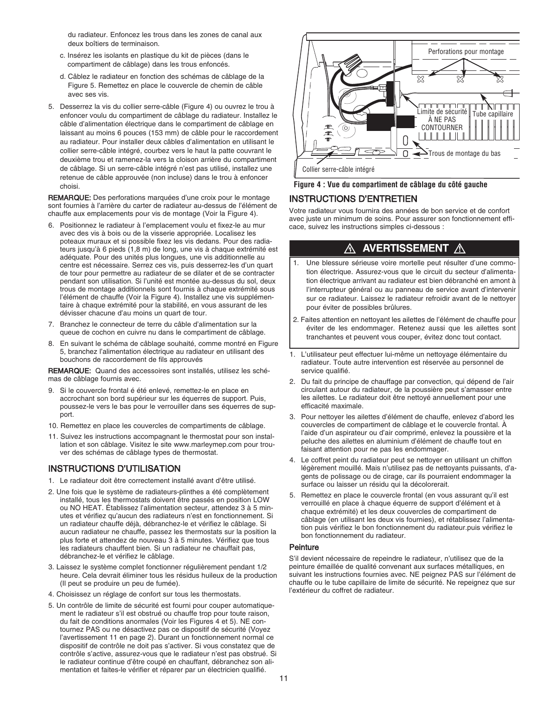du radiateur. Enfoncez les trous dans les zones de canal aux deux boîtiers de terminaison.

- c. Insérez les isolants en plastique du kit de pièces (dans le compartiment de câblage) dans les trous enfoncés.
- d. Câblez le radiateur en fonction des schémas de câblage de la Figure 5. Remettez en place le couvercle de chemin de câble avec ses vis.
- 5. Desserrez la vis du collier serre-câble (Figure 4) ou ouvrez le trou à enfoncer voulu du compartiment de câblage du radiateur. Installez le câble d'alimentation électrique dans le compartiment de câblage en laissant au moins 6 pouces (153 mm) de câble pour le raccordement au radiateur. Pour installer deux câbles d'alimentation en utilisant le collier serre-câble intégré, courbez vers le haut la patte couvrant le deuxième trou et ramenez-la vers la cloison arrière du compartiment de câblage. Si un serre-câble intégré n'est pas utilisé, installez une retenue de câble approuvée (non incluse) dans le trou à enfoncer choisi.

REMARQUE: Des perforations marquées d'une croix pour le montage sont fournies à l'arrière du carter de radiateur au-dessus de l'élément de chauffe aux emplacements pour vis de montage (Voir la Figure 4).

- 6. Positionnez le radiateur à l'emplacement voulu et fixez-le au mur avec des vis à bois ou de la visserie appropriée. Localisez les poteaux muraux et si possible fixez les vis dedans. Pour des radiateurs jusqu'à 6 pieds (1,8 m) de long, une vis à chaque extrémité est adéquate. Pour des unités plus longues, une vis additionnelle au centre est nécessaire. Serrez ces vis, puis desserrez-les d'un quart de tour pour permettre au radiateur de se dilater et de se contracter pendant son utilisation. Si l'unité est montée au-dessus du sol, deux trous de montage additionnels sont fournis à chaque extrémité sous l'élément de chauffe (Voir la Figure 4). Installez une vis supplémentaire à chaque extrémité pour la stabilité, en vous assurant de les dévisser chacune d'au moins un quart de tour.
- 7. Branchez le connecteur de terre du câble d'alimentation sur la queue de cochon en cuivre nu dans le compartiment de câblage.
- 8. En suivant le schéma de câblage souhaité, comme montré en Figure 5, branchez l'alimentation électrique au radiateur en utilisant des bouchons de raccordement de fils approuvés

REMARQUE: Quand des accessoires sont installés, utilisez les schémas de câblage fournis avec.

- 9. Si le couvercle frontal é été enlevé, remettez-le en place en accrochant son bord supérieur sur les équerres de support. Puis, poussez-le vers le bas pour le verrouiller dans ses équerres de support.
- 10. Remettez en place les couvercles de compartiments de câblage.
- 11. Suivez les instructions accompagnant le thermostat pour son installation et son câblage. Visitez le site www.marleymep.com pour trouver des schémas de câblage types de thermostat.

### INSTRUCTIONS D'UTILISATION

- 1. Le radiateur doit être correctement installé avant d'être utilisé.
- 2. Une fois que le système de radiateurs-plinthes a été complètement installé, tous les thermostats doivent être passés en position LOW ou NO HEAT. Établissez l'alimentation secteur, attendez 3 à 5 minutes et vérifiez qu'aucun des radiateurs n'est en fonctionnement. Si un radiateur chauffe déjà, débranchez-le et vérifiez le câblage. Si aucun radiateur ne chauffe, passez les thermostats sur la position la plus forte et attendez de nouveau 3 à 5 minutes. Vérifiez que tous les radiateurs chauffent bien. Si un radiateur ne chauffait pas, débranchez-le et vérifiez le câblage.
- 3. Laissez le système complet fonctionner régulièrement pendant 1/2 heure. Cela devrait éliminer tous les résidus huileux de la production (Il peut se produire un peu de fumée).
- 4. Choisissez un réglage de confort sur tous les thermostats.
- 5. Un contrôle de limite de sécurité est fourni pour couper automatiquement le radiateur s'il est obstrué ou chauffe trop pour toute raison, du fait de conditions anormales (Voir les Figures 4 et 5). NE contournez PAS ou ne désactivez pas ce dispositif de sécurité (Voyez l'avertissement 11 en page 2). Durant un fonctionnement normal ce dispositif de contrôle ne doit pas s'activer. Si vous constatez que de contrôle s'active, assurez-vous que le radiateur n'est pas obstrué. Si le radiateur continue d'être coupé en chauffant, débranchez son alimentation et faites-le vérifier et réparer par un électricien qualifié.



#### **Figure 4 : Vue du compartiment de câblage du côté gauche**

# INSTRUCTIONS D'ENTRETIEN

Votre radiateur vous fournira des années de bon service et de confort avec juste un minimum de soins. Pour assurer son fonctionnement efficace, suivez les instructions simples ci-dessous :

#### **AVERTISSEMENT** ⚠ ⚠

- 1. Une blessure sérieuse voire mortelle peut résulter d'une commotion électrique. Assurez-vous que le circuit du secteur d'alimentation électrique arrivant au radiateur est bien débranché en amont à l'interrupteur général ou au panneau de service avant d'intervenir sur ce radiateur. Laissez le radiateur refroidir avant de le nettoyer pour éviter de possibles brûlures.
- 2. Faites attention en nettoyant les ailettes de l'élément de chauffe pour éviter de les endommager. Retenez aussi que les ailettes sont tranchantes et peuvent vous couper, évitez donc tout contact.
- 1. L'utilisateur peut effectuer lui-même un nettoyage élémentaire du radiateur. Toute autre intervention est réservée au personnel de service qualifié.
- 2. Du fait du principe de chauffage par convection, qui dépend de l'air circulant autour du radiateur, de la poussière peut s'amasser entre les ailettes. Le radiateur doit être nettoyé annuellement pour une efficacité maximale.
- 3. Pour nettoyer les ailettes d'élément de chauffe, enlevez d'abord les couvercles de compartiment de câblage et le couvercle frontal. À l'aide d'un aspirateur ou d'air comprimé, enlevez la poussière et la peluche des ailettes en aluminium d'élément de chauffe tout en faisant attention pour ne pas les endommager.
- 4. Le coffret peint du radiateur peut se nettoyer en utilisant un chiffon légèrement mouillé. Mais n'utilisez pas de nettoyants puissants, d'agents de polissage ou de cirage, car ils pourraient endommager la surface ou laisser un résidu qui la décolorerait.
- 5. Remettez en place le couvercle frontal (en vous assurant qu'il est verrouillé en place à chaque équerre de support d'élément et à chaque extrémité) et les deux couvercles de compartiment de câblage (en utilisant les deux vis fournies), et rétablissez l'alimentation puis vérifiez le bon fonctionnement du radiateur.puis vérifiez le bon fonctionnement du radiateur.

### **Peinture**

S'il devient nécessaire de repeindre le radiateur, n'utilisez que de la peinture émaillée de qualité convenant aux surfaces métalliques, en suivant les instructions fournies avec. NE peignez PAS sur l'élément de chauffe ou le tube capillaire de limite de sécurité. Ne repeignez que sur l'extérieur du coffret de radiateur.